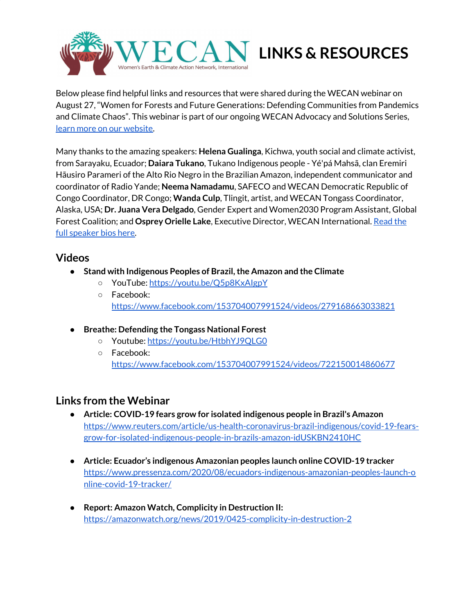

Below please find helpful links and resources that were shared during the WECAN webinar on August 27, "Women for Forests and Future Generations: Defending Communities from Pandemics and Climate Chaos". This webinar is part of our ongoing WECAN Advocacy and Solutions Series, learn more on our [website](https://www.wecaninternational.org/).

Many thanks to the amazing speakers: **Helena Gualinga**, Kichwa, youth social and climate activist, from Sarayaku, Ecuador; **Daiara Tukano**, Tukano Indigenous people - Yé'pá Mahsã, clan Eremiri Hãusiro Parameri of the Alto Rio Negro in the Brazilian Amazon, independent communicator and coordinator of Radio Yande; **Neema Namadamu**, SAFECO and WECAN Democratic Republic of Congo Coordinator, DR Congo; **Wanda Culp**, Tlingit, artist, and WECAN Tongass Coordinator, Alaska, USA; **Dr. Juana Vera Delgado**, Gender Expert and Women2030 Program Assistant, Global Forest Coalition; and **Osprey Orielle Lake**, Executive Director, WECAN International. [Read](https://e01c23b4-9f2e-4830-9320-a86de06b013e.filesusr.com/ugd/d99d2e_85703d855e42407aad3074ec853aa695.pdf) the full [speaker](https://e01c23b4-9f2e-4830-9320-a86de06b013e.filesusr.com/ugd/d99d2e_85703d855e42407aad3074ec853aa695.pdf) bios here.

## **Videos**

- **● Stand with Indigenous Peoples of Brazil,the Amazon and the Climate**
	- YouTube: <https://youtu.be/Q5p8KxAIgpY>
	- Facebook: <https://www.facebook.com/153704007991524/videos/279168663033821>
- **● Breathe: Defending the Tongass National Forest**
	- Youtube: <https://youtu.be/HtbhYJ9QLG0>
	- Facebook: <https://www.facebook.com/153704007991524/videos/722150014860677>

## **Links from the Webinar**

- **Article: COVID-19 fears grow for isolated indigenous people in Brazil's Amazon** [https://www.reuters.com/article/us-health-coronavirus-brazil-indigenous/covid-19-fears](https://www.reuters.com/article/us-health-coronavirus-brazil-indigenous/covid-19-fears-grow-for-isolated-indigenous-people-in-brazils-amazon-idUSKBN2410HC)[grow-for-isolated-indigenous-people-in-brazils-amazon-idUSKBN2410HC](https://www.reuters.com/article/us-health-coronavirus-brazil-indigenous/covid-19-fears-grow-for-isolated-indigenous-people-in-brazils-amazon-idUSKBN2410HC)
- **Article: Ecuador's indigenous Amazonian peoples launch online COVID-19 tracker** [https://www.pressenza.com/2020/08/ecuadors-indigenous-amazonian-peoples-launch-o](https://www.pressenza.com/2020/08/ecuadors-indigenous-amazonian-peoples-launch-online-covid-19-tracker/) [nline-covid-19-tracker/](https://www.pressenza.com/2020/08/ecuadors-indigenous-amazonian-peoples-launch-online-covid-19-tracker/)
- **Report: Amazon Watch, Complicity in Destruction II:** <https://amazonwatch.org/news/2019/0425-complicity-in-destruction-2>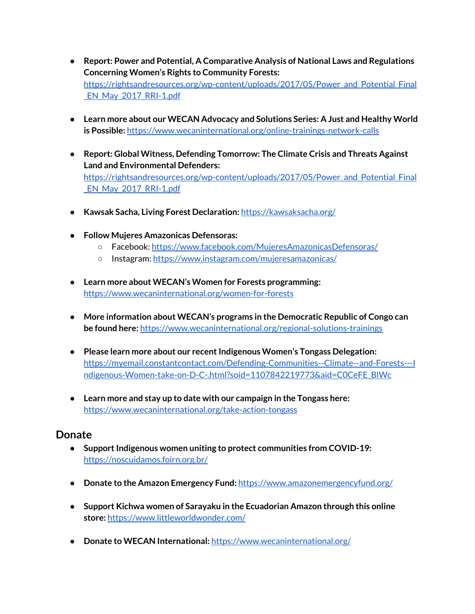- **Report: Power and Potential, A Comparative Analysis of National Laws and Regulations Concerning Women's Rights to Community Forests:** [https://rightsandresources.org/wp-content/uploads/2017/05/Power\\_and\\_Potential\\_Final](https://rightsandresources.org/wp-content/uploads/2017/05/Power_and_Potential_Final_EN_May_2017_RRI-1.pdf) EN May 2017 RRI-1.pdf
- **Learn more about our WECAN Advocacy and Solutions Series: A Just and Healthy World is Possible:** <https://www.wecaninternational.org/online-trainings-network-calls>
- **Report: Global Witness, Defending Tomorrow: The Climate Crisis and Threats Against Land and Environmental Defenders:** [https://rightsandresources.org/wp-content/uploads/2017/05/Power\\_and\\_Potential\\_Final](https://rightsandresources.org/wp-content/uploads/2017/05/Power_and_Potential_Final_EN_May_2017_RRI-1.pdf) EN May 2017 RRI-1.pdf
- **Kawsak Sacha, Living Forest Declaration:** <https://kawsaksacha.org/>
- **● Follow Mujeres Amazonicas Defensoras:**
	- Facebook: <https://www.facebook.com/MujeresAmazonicasDefensoras/>
	- o Instagram: <https://www.instagram.com/mujeresamazonicas/>
- **Learn more about WECAN's Women for Forests programming:** <https://www.wecaninternational.org/women-for-forests>
- **More information about WECAN's programs in the Democratic Republic of Congo can be found here:** <https://www.wecaninternational.org/regional-solutions-trainings>
- **Please learn more about our recentIndigenous Women's Tongass Delegation:** [https://myemail.constantcontact.com/Defending-Communities--Climate--and-Forests---I](https://myemail.constantcontact.com/Defending-Communities--Climate--and-Forests---Indigenous-Women-take-on-D-C-.html?soid=1107842219773&aid=C0CeFE_BlWc) [ndigenous-Women-take-on-D-C-.html?soid=1107842219773&aid=C0CeFE\\_BlWc](https://myemail.constantcontact.com/Defending-Communities--Climate--and-Forests---Indigenous-Women-take-on-D-C-.html?soid=1107842219773&aid=C0CeFE_BlWc)
- **Learn more and stay up to date with our campaign in the Tongass here:** <https://www.wecaninternational.org/take-action-tongass>

### **Donate**

- **SupportIndigenous women uniting to protect communities from COVID-19:** <https://noscuidamos.foirn.org.br/>
- **Donate to the Amazon Emergency Fund:** <https://www.amazonemergencyfund.org/>
- **Support Kichwa women of Sarayaku in the Ecuadorian Amazon through this online store:** <https://www.littleworldwonder.com/>
- **● Donate to WECAN International:** <https://www.wecaninternational.org/>